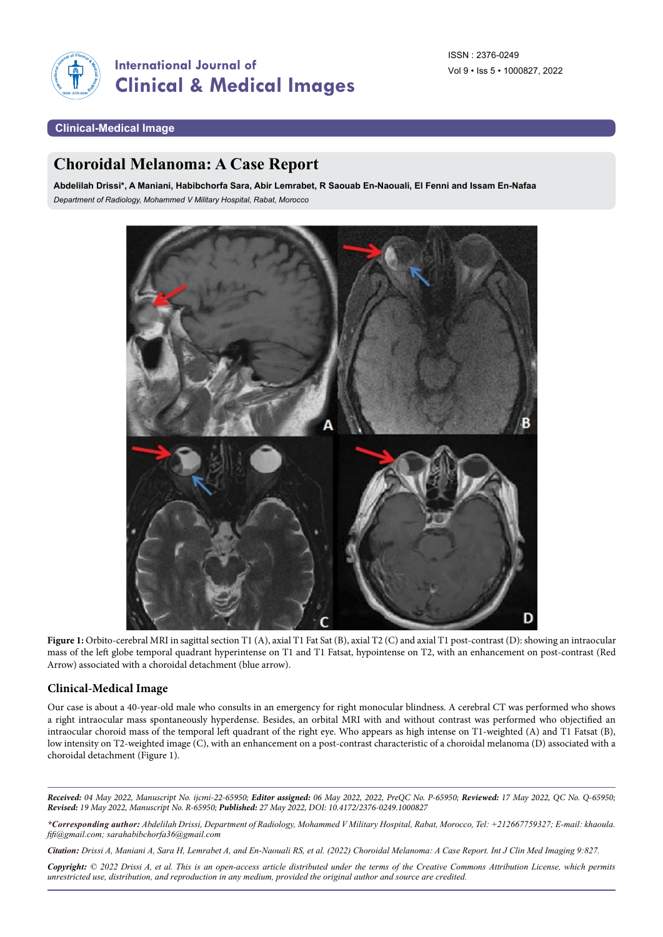

## **Clinical-Medical Image**

# **Choroidal Melanoma: A Case Report**

**Abdelilah Drissi\*, A Maniani, Habibchorfa Sara, Abir Lemrabet, R Saouab En-Naouali, El Fenni and Issam En-Nafaa** *Department of Radiology, Mohammed V Military Hospital, Rabat, Morocco*



Figure 1: Orbito-cerebral MRI in sagittal section T1 (A), axial T1 Fat Sat (B), axial T2 (C) and axial T1 post-contrast (D): showing an intraocular mass of the left globe temporal quadrant hyperintense on T1 and T1 Fatsat, hypointense on T2, with an enhancement on post-contrast (Red Arrow) associated with a choroidal detachment (blue arrow).

#### **Clinical-Medical Image**

Our case is about a 40-year-old male who consults in an emergency for right monocular blindness. A cerebral CT was performed who shows a right intraocular mass spontaneously hyperdense. Besides, an orbital MRI with and without contrast was performed who objectified an intraocular choroid mass of the temporal left quadrant of the right eye. Who appears as high intense on T1-weighted (A) and T1 Fatsat (B), low intensity on T2-weighted image (C), with an enhancement on a post-contrast characteristic of a choroidal melanoma (D) associated with a choroidal detachment (Figure 1).

*Received: 04 May 2022, Manuscript No. ijcmi-22-65950; Editor assigned: 06 May 2022, 2022, PreQC No. P-65950; Reviewed: 17 May 2022, QC No. Q-65950; Revised: 19 May 2022, Manuscript No. R-65950; Published: 27 May 2022, DOI: 10.4172/2376-0249.1000827*

*\*Corresponding author: Abdelilah Drissi, Department of Radiology, Mohammed V Military Hospital, Rabat, Morocco, Tel: +212667759327; E-mail: [khaoula.](mailto:khaoula.fifi@gmail.com) [fifi@gmail.com](mailto:khaoula.fifi@gmail.com); [sarahabibchorfa36@gmail.com](mailto:sarahabibchorfa36@gmail.com)*

*Citation: Drissi A, Maniani A, Sara H, Lemrabet A, and En-Naouali RS, et al. (2022) Choroidal Melanoma: A Case Report. Int J Clin Med Imaging 9:827.*

*Copyright: © 2022 Drissi A, et al. This is an open-access article distributed under the terms of the Creative Commons Attribution License, which permits unrestricted use, distribution, and reproduction in any medium, provided the original author and source are credited.*